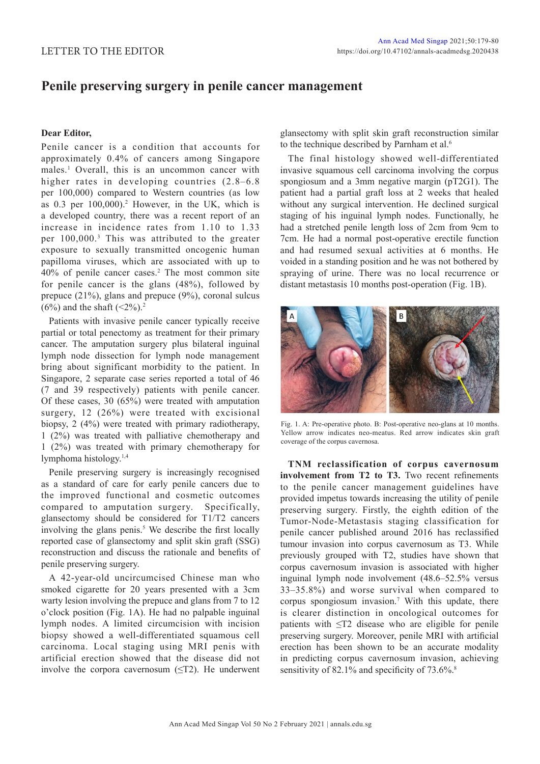## **Penile preserving surgery in penile cancer management**

## **Dear Editor,**

Penile cancer is a condition that accounts for approximately 0.4% of cancers among Singapore males.<sup>1</sup> Overall, this is an uncommon cancer with higher rates in developing countries  $(2.8-6.8)$ per 100,000) compared to Western countries (as low as  $0.3$  per  $100,000$ .<sup>2</sup> However, in the UK, which is a developed country, there was a recent report of an increase in incidence rates from 1.10 to 1.33 per 100,000.3 This was attributed to the greater exposure to sexually transmitted oncogenic human papilloma viruses, which are associated with up to 40% of penile cancer cases.2 The most common site for penile cancer is the glans (48%), followed by prepuce (21%), glans and prepuce (9%), coronal sulcus (6%) and the shaft  $(\leq 2\%)$ .<sup>2</sup>

Patients with invasive penile cancer typically receive partial or total penectomy as treatment for their primary cancer. The amputation surgery plus bilateral inguinal lymph node dissection for lymph node management bring about significant morbidity to the patient. In Singapore, 2 separate case series reported a total of 46 (7 and 39 respectively) patients with penile cancer. Of these cases, 30 (65%) were treated with amputation surgery, 12 (26%) were treated with excisional biopsy, 2 (4%) were treated with primary radiotherapy, 1 (2%) was treated with palliative chemotherapy and 1 (2%) was treated with primary chemotherapy for lymphoma histology.1,4

Penile preserving surgery is increasingly recognised as a standard of care for early penile cancers due to the improved functional and cosmetic outcomes compared to amputation surgery. Specifically, glansectomy should be considered for T1/T2 cancers involving the glans penis.<sup>5</sup> We describe the first locally reported case of glansectomy and split skin graft (SSG) reconstruction and discuss the rationale and benefits of penile preserving surgery.

A 42-year-old uncircumcised Chinese man who smoked cigarette for 20 years presented with a 3cm warty lesion involving the prepuce and glans from 7 to 12 o'clock position (Fig. 1A). He had no palpable inguinal lymph nodes. A limited circumcision with incision biopsy showed a well-differentiated squamous cell carcinoma. Local staging using MRI penis with artificial erection showed that the disease did not involve the corpora cavernosum  $(\leq T2)$ . He underwent glansectomy with split skin graft reconstruction similar to the technique described by Parnham et al.<sup>6</sup>

The final histology showed well-differentiated invasive squamous cell carcinoma involving the corpus spongiosum and a 3mm negative margin (pT2G1). The patient had a partial graft loss at 2 weeks that healed without any surgical intervention. He declined surgical staging of his inguinal lymph nodes. Functionally, he had a stretched penile length loss of 2cm from 9cm to 7cm. He had a normal post-operative erectile function and had resumed sexual activities at 6 months. He voided in a standing position and he was not bothered by spraying of urine. There was no local recurrence or distant metastasis 10 months post-operation (Fig. 1B).



Fig. 1. A: Pre-operative photo. B: Post-operative neo-glans at 10 months. Yellow arrow indicates neo-meatus. Red arrow indicates skin graft coverage of the corpus cavernosa.

**TNM reclassification of corpus cavernosum involvement from T2 to T3.** Two recent refinements to the penile cancer management guidelines have provided impetus towards increasing the utility of penile preserving surgery. Firstly, the eighth edition of the Tumor-Node-Metastasis staging classification for penile cancer published around 2016 has reclassified tumour invasion into corpus cavernosum as T3. While previously grouped with T2, studies have shown that corpus cavernosum invasion is associated with higher inguinal lymph node involvement (48.6–52.5% versus 33–35.8%) and worse survival when compared to corpus spongiosum invasion.7 With this update, there is clearer distinction in oncological outcomes for patients with ≤T2 disease who are eligible for penile preserving surgery. Moreover, penile MRI with artificial erection has been shown to be an accurate modality in predicting corpus cavernosum invasion, achieving sensitivity of 82.1% and specificity of 73.6%.<sup>8</sup>